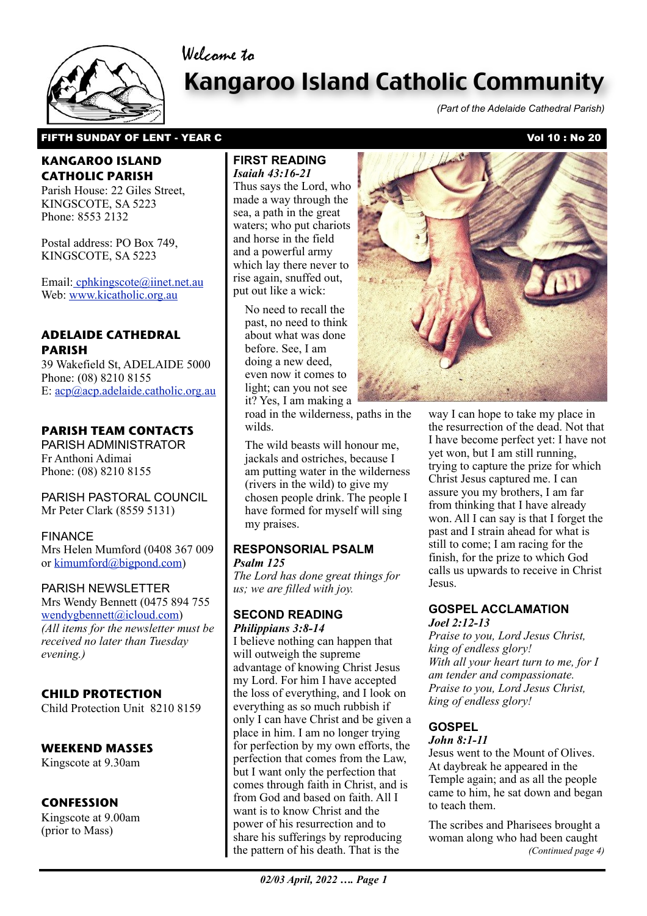

# Kangaroo Island Catholic Community

*(Part of the Adelaide Cathedral Parish)*

## FIFTH SUNDAY OF LENT - YEAR C<br>
The Vol 10 : No 20

## **KANGAROO ISLAND CATHOLIC PARISH**

Parish House: 22 Giles Street, KINGSCOTE, SA 5223 Phone: 8553 2132

Postal address: PO Box 749, KINGSCOTE, SA 5223

Email[: cphkingscote@iinet.net.au](mailto:cphkingscote@iinet.net.au) Web: [www.kicatholic.org.au](http://www.kicatholic.org.au)

## **ADELAIDE CATHEDRAL PARISH**

39 Wakefield St, ADELAIDE 5000 Phone: (08) 8210 8155 E: [acp@acp.adelaide.catholic.org.au](mailto:?subject=)

## **PARISH TEAM CONTACTS**

PARISH ADMINISTRATOR Fr Anthoni Adimai Phone: (08) 8210 8155

PARISH PASTORAL COUNCIL Mr Peter Clark (8559 5131)

#### FINANCE

Mrs Helen Mumford (0408 367 009 or [kimumford@bigpond.com\)](mailto:kimumford@bigpond.com)

#### PARISH NEWSLETTER

Mrs Wendy Bennett (0475 894 755 [wendygbennett@icloud.com\)](mailto:wendygbennett@icloud.com) *(All items for the newsletter must be received no later than Tuesday evening.)*

## **CHILD PROTECTION**

Child Protection Unit 8210 8159

#### **WEEKEND MASSES**

Kingscote at 9.30am

## **CONFESSION**

Kingscote at 9.00am (prior to Mass)

#### **FIRST READING** *Isaiah 43:16-21*

Welcome to

Thus says the Lord, who made a way through the sea, a path in the great waters; who put chariots and horse in the field and a powerful army which lay there never to rise again, snuffed out, put out like a wick:

No need to recall the past, no need to think about what was done before. See, I am doing a new deed, even now it comes to light; can you not see it? Yes, I am making a

road in the wilderness, paths in the wilds.

The wild beasts will honour me, jackals and ostriches, because I am putting water in the wilderness (rivers in the wild) to give my chosen people drink. The people I have formed for myself will sing my praises.

#### **RESPONSORIAL PSALM** *Psalm 125*

*The Lord has done great things for us; we are filled with joy.*

#### **SECOND READING** *Philippians 3:8-14*

 the pattern of his death. That is the I believe nothing can happen that will outweigh the supreme advantage of knowing Christ Jesus my Lord. For him I have accepted the loss of everything, and I look on everything as so much rubbish if only I can have Christ and be given a place in him. I am no longer trying for perfection by my own efforts, the perfection that comes from the Law, but I want only the perfection that comes through faith in Christ, and is from God and based on faith. All I want is to know Christ and the power of his resurrection and to share his sufferings by reproducing



way I can hope to take my place in the resurrection of the dead. Not that I have become perfect yet: I have not yet won, but I am still running, trying to capture the prize for which Christ Jesus captured me. I can assure you my brothers, I am far from thinking that I have already won. All I can say is that I forget the past and I strain ahead for what is still to come; I am racing for the finish, for the prize to which God calls us upwards to receive in Christ Jesus.

#### **GOSPEL ACCLAMATION** *Joel 2:12-13*

*Praise to you, Lord Jesus Christ, king of endless glory! With all your heart turn to me, for I am tender and compassionate. Praise to you, Lord Jesus Christ, king of endless glory!*

## **GOSPEL**

*John 8:1-11* Jesus went to the Mount of Olives. At daybreak he appeared in the Temple again; and as all the people came to him, he sat down and began to teach them.

The scribes and Pharisees brought a woman along who had been caught *(Continued page 4)*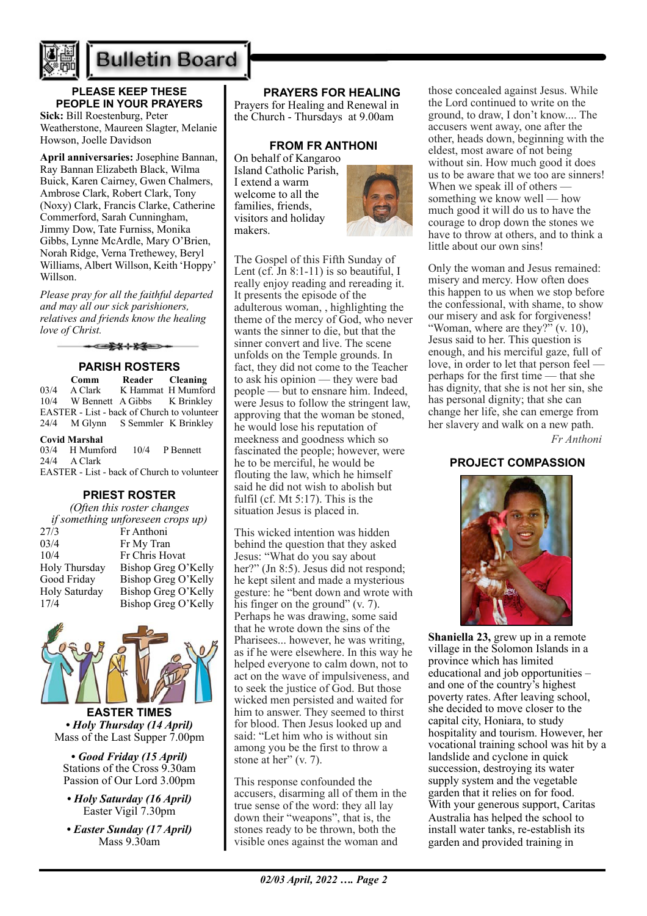

## **Bulletin Board**

## **PLEASE KEEP THESE PEOPLE IN YOUR PRAYERS**

**Sick:** Bill Roestenburg, Peter Weatherstone, Maureen Slagter, Melanie Howson, Joelle Davidson

**April anniversaries:** Josephine Bannan, Ray Bannan Elizabeth Black, Wilma Buick, Karen Cairney, Gwen Chalmers, Ambrose Clark, Robert Clark, Tony (Noxy) Clark, Francis Clarke, Catherine Commerford, Sarah Cunningham, Jimmy Dow, Tate Furniss, Monika Gibbs, Lynne McArdle, Mary O'Brien, Norah Ridge, Verna Trethewey, Beryl Williams, Albert Willson, Keith 'Hoppy' Willson.

*Please pray for all the faithful departed and may all our sick parishioners, relatives and friends know the healing love of Christ.*

 $-111$ 

**PARISH ROSTERS Comm Reader Cleaning**<br>03/4 A Clark K Hammat H Mumfor  $03/4$  A Clark K Hammat H Mumford<br> $10/4$  W Bennett A Gibbs K Brinkley W Bennett A Gibbs K Brinkley EASTER - List - back of Church to volunteer 24/4 M Glynn S Semmler K Brinkley

#### **Covid Marshal**

03/4 H Mumford 10/4 P Bennett 24/4 A Clark EASTER - List - back of Church to volunteer

#### **PRIEST ROSTER**

| (Often this roster changes        |                     |
|-----------------------------------|---------------------|
| if something unforeseen crops up) |                     |
| 27/3                              | Fr Anthoni          |
| 03/4                              | Fr My Tran          |
| 10/4                              | Fr Chris Hovat      |
| Holy Thursday                     | Bishop Greg O'Kelly |
| Good Friday                       | Bishop Greg O'Kelly |
| Holy Saturday                     | Bishop Greg O'Kelly |
| 17/4                              | Bishop Greg O'Kelly |



**EASTER TIMES** *• Holy Thursday (14 April)* Mass of the Last Supper 7.00pm

*• Good Friday (15 April)* Stations of the Cross 9.30am Passion of Our Lord 3.00pm

- *Holy Saturday (16 April)* Easter Vigil 7.30pm
- *Easter Sunday (17 April)* Mass 9.30am

## **PRAYERS FOR HEALING**

Prayers for Healing and Renewal in the Church - Thursdays at 9.00am

#### **FROM FR ANTHONI**

On behalf of Kangaroo Island Catholic Parish, I extend a warm welcome to all the families, friends, visitors and holiday makers.



The Gospel of this Fifth Sunday of Lent  $(cf.$  Jn  $8:1-11$ ) is so beautiful, I really enjoy reading and rereading it. It presents the episode of the adulterous woman, , highlighting the theme of the mercy of God, who never wants the sinner to die, but that the sinner convert and live. The scene unfolds on the Temple grounds. In fact, they did not come to the Teacher to ask his opinion — they were bad people — but to ensnare him. Indeed, were Jesus to follow the stringent law, approving that the woman be stoned, he would lose his reputation of meekness and goodness which so fascinated the people; however, were he to be merciful, he would be flouting the law, which he himself said he did not wish to abolish but fulfil (cf. Mt 5:17). This is the situation Jesus is placed in.

This wicked intention was hidden behind the question that they asked Jesus: "What do you say about her?" (Jn 8:5). Jesus did not respond; he kept silent and made a mysterious gesture: he "bent down and wrote with his finger on the ground" (v. 7). Perhaps he was drawing, some said that he wrote down the sins of the Pharisees... however, he was writing, as if he were elsewhere. In this way he helped everyone to calm down, not to act on the wave of impulsiveness, and to seek the justice of God. But those wicked men persisted and waited for him to answer. They seemed to thirst for blood. Then Jesus looked up and said: "Let him who is without sin among you be the first to throw a stone at her" (v. 7).

This response confounded the accusers, disarming all of them in the true sense of the word: they all lay down their "weapons", that is, the stones ready to be thrown, both the visible ones against the woman and

those concealed against Jesus. While the Lord continued to write on the ground, to draw, I don't know.... The accusers went away, one after the other, heads down, beginning with the eldest, most aware of not being without sin. How much good it does us to be aware that we too are sinners! When we speak ill of others – something we know well — how much good it will do us to have the courage to drop down the stones we have to throw at others, and to think a little about our own sins!

Only the woman and Jesus remained: misery and mercy. How often does this happen to us when we stop before the confessional, with shame, to show our misery and ask for forgiveness! "Woman, where are they?" (v. 10), Jesus said to her. This question is enough, and his merciful gaze, full of love, in order to let that person feel perhaps for the first time — that she has dignity, that she is not her sin, she has personal dignity; that she can change her life, she can emerge from her slavery and walk on a new path.

*Fr Anthoni*

## **PROJECT COMPASSION**



**Shaniella 23,** grew up in a remote village in the Solomon Islands in a province which has limited educational and job opportunities – and one of the country's highest poverty rates. After leaving school, she decided to move closer to the capital city, Honiara, to study hospitality and tourism. However, her vocational training school was hit by a landslide and cyclone in quick succession, destroying its water supply system and the vegetable garden that it relies on for food. With your generous support, Caritas Australia has helped the school to install water tanks, re-establish its garden and provided training in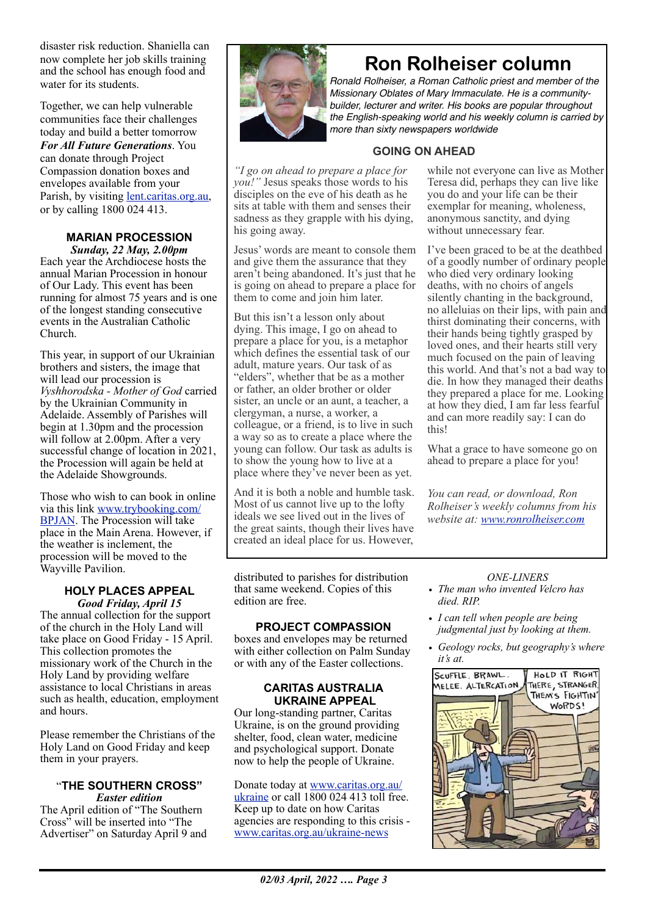disaster risk reduction. Shaniella can now complete her job skills training and the school has enough food and water for its students.

Together, we can help vulnerable communities face their challenges today and build a better tomorrow *For All Future Generations*. You can donate through Project Compassion donation boxes and envelopes available from your Parish, by visiting [lent.caritas.org.au,](http://www.caritas.org.au/projectcompassion) or by calling 1800 024 413.

#### **MARIAN PROCESSION** *Sunday, 22 May, 2.00pm*

Each year the Archdiocese hosts the annual Marian Procession in honour of Our Lady. This event has been running for almost 75 years and is one of the longest standing consecutive events in the Australian Catholic Church.

This year, in support of our Ukrainian brothers and sisters, the image that will lead our procession is *Vyshhorodska - Mother of God* carried by the Ukrainian Community in Adelaide. Assembly of Parishes will begin at 1.30pm and the procession will follow at 2.00pm. After a very successful change of location in 2021, the Procession will again be held at the Adelaide Showgrounds.

Those who wish to can book in online via this link [www.trybooking.com/](http://www.trybooking.com/BPJAN) [BPJAN](http://www.trybooking.com/BPJAN). The Procession will take place in the Main Arena. However, if the weather is inclement, the procession will be moved to the Wayville Pavilion.

#### **HOLY PLACES APPEAL**  *Good Friday, April 15*

The annual collection for the support of the church in the Holy Land will take place on Good Friday - 15 April. This collection promotes the missionary work of the Church in the Holy Land by providing welfare assistance to local Christians in areas such as health, education, employment and hours.

Please remember the Christians of the Holy Land on Good Friday and keep them in your prayers.

#### "**THE SOUTHERN CROSS"** *Easter edition*

The April edition of "The Southern Cross<sup>3</sup> will be inserted into "The Advertiser" on Saturday April 9 and



## **Ron Rolheiser column**

*Ronald Rolheiser, a Roman Catholic priest and member of the Missionary Oblates of Mary Immaculate. He is a communitybuilder, lecturer and writer. His books are popular throughout the English-speaking world and his weekly column is carried by more than sixty newspapers worldwide*

## **GOING ON AHEAD**

*"I go on ahead to prepare a place for you!"* Jesus speaks those words to his disciples on the eve of his death as he sits at table with them and senses their sadness as they grapple with his dying, his going away.

Jesus' words are meant to console them and give them the assurance that they aren't being abandoned. It's just that he is going on ahead to prepare a place for them to come and join him later.

But this isn't a lesson only about dying. This image, I go on ahead to prepare a place for you, is a metaphor which defines the essential task of our adult, mature years. Our task of as "elders", whether that be as a mother or father, an older brother or older sister, an uncle or an aunt, a teacher, a clergyman, a nurse, a worker, a colleague, or a friend, is to live in such a way so as to create a place where the young can follow. Our task as adults is to show the young how to live at a place where they've never been as yet.

And it is both a noble and humble task. Most of us cannot live up to the lofty ideals we see lived out in the lives of the great saints, though their lives have created an ideal place for us. However,

distributed to parishes for distribution that same weekend. Copies of this edition are free.

## **PROJECT COMPASSION**

boxes and envelopes may be returned with either collection on Palm Sunday or with any of the Easter collections.

#### **CARITAS AUSTRALIA UKRAINE APPEAL**

Our long-standing partner, Caritas Ukraine, is on the ground providing shelter, food, clean water, medicine and psychological support. Donate now to help the people of Ukraine.

Donate today at [www.caritas.org.au/](https://aus01.safelinks.protection.outlook.com/?url=http%3A%2F%2Fwww.caritas.org.au%2Fukraine&data=04%7C01%7CCco-Reception%40adelaide.catholic.org.au%7Cfc58bf7f33d340f2ee9b08da07b447d1%7Cfe51d108d61d407cbcaaaab5af82a7ac%7C1%7C0%7C637830768121954887%7CUnknown%7CTWFpbGZsb3d8eyJWIjoiMC4wLjAwMDAiLCJQIjoiV2luMzIiLCJBTiI6Ik1haWwiLCJXVCI6Mn0%3D%7C3000&sdata=rOXCte9AEd2c89fp5zaw9%2FEi7PK87M7lemKGAncPi%2B8%3D&reserved=0) [ukraine](https://aus01.safelinks.protection.outlook.com/?url=http%3A%2F%2Fwww.caritas.org.au%2Fukraine&data=04%7C01%7CCco-Reception%40adelaide.catholic.org.au%7Cfc58bf7f33d340f2ee9b08da07b447d1%7Cfe51d108d61d407cbcaaaab5af82a7ac%7C1%7C0%7C637830768121954887%7CUnknown%7CTWFpbGZsb3d8eyJWIjoiMC4wLjAwMDAiLCJQIjoiV2luMzIiLCJBTiI6Ik1haWwiLCJXVCI6Mn0%3D%7C3000&sdata=rOXCte9AEd2c89fp5zaw9%2FEi7PK87M7lemKGAncPi%2B8%3D&reserved=0) or call 1800 024 413 toll free. Keep up to date on how Caritas agencies are responding to this crisis [www.caritas.org.au/ukraine-news](https://aus01.safelinks.protection.outlook.com/?url=http%3A%2F%2Fwww.caritas.org.au%2Fukraine-news&data=04%7C01%7CCco-Reception%40adelaide.catholic.org.au%7Cfc58bf7f33d340f2ee9b08da07b447d1%7Cfe51d108d61d407cbcaaaab5af82a7ac%7C1%7C0%7C637830768121954887%7CUnknown%7CTWFpbGZsb3d8eyJWIjoiMC4wLjAwMDAiLCJQIjoiV2luMzIiLCJBTiI6Ik1haWwiLCJXVCI6Mn0%3D%7C3000&sdata=GLRcp0dt1SgGoLPRBlSbLWB%2Fp8GMz2LoehdjvnSFQWg%3D&reserved=0)

while not everyone can live as Mother Teresa did, perhaps they can live like you do and your life can be their exemplar for meaning, wholeness, anonymous sanctity, and dying without unnecessary fear.

I've been graced to be at the deathbed of a goodly number of ordinary people who died very ordinary looking deaths, with no choirs of angels silently chanting in the background, no alleluias on their lips, with pain and thirst dominating their concerns, with their hands being tightly grasped by loved ones, and their hearts still very much focused on the pain of leaving this world. And that's not a bad way to die. In how they managed their deaths they prepared a place for me. Looking at how they died, I am far less fearful and can more readily say: I can do this!

What a grace to have someone go on ahead to prepare a place for you!

*You can read, or download, Ron Rolheiser's weekly columns from his website at: [www.ronrolheiser.com](http://www.ronrolheiser.com)*

## *ONE-LINERS*

- *• The man who invented Velcro has died. RIP.*
- *• I can tell when people are being judgmental just by looking at them.*
- *• Geology rocks, but geography's where it's at.*